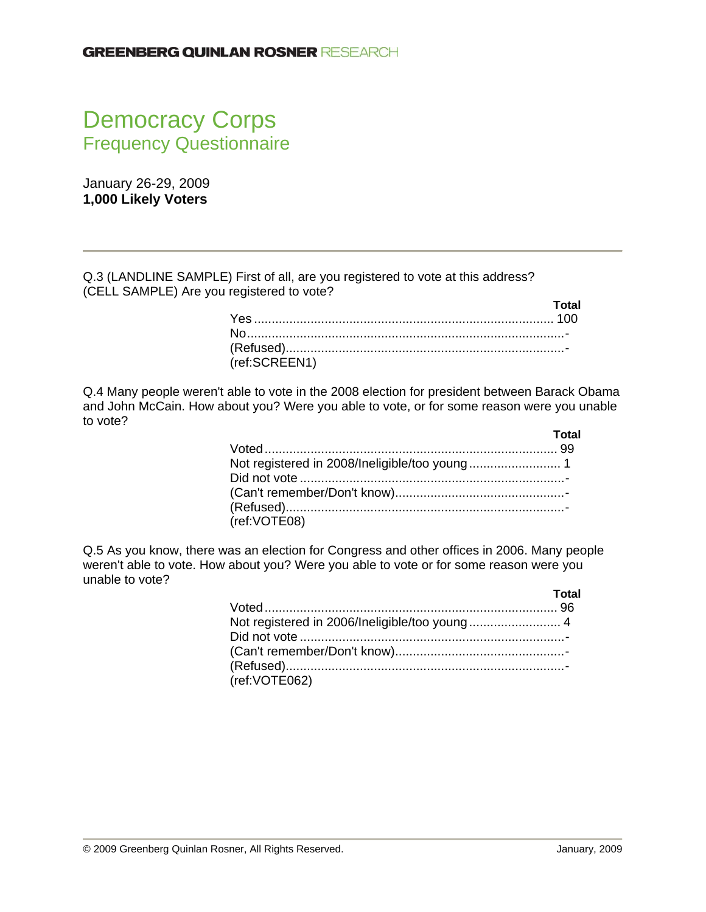# Democracy Corps Frequency Questionnaire

January 26-29, 2009 **1,000 Likely Voters** 

Q.3 (LANDLINE SAMPLE) First of all, are you registered to vote at this address? (CELL SAMPLE) Are you registered to vote?

|               | Total |
|---------------|-------|
|               |       |
|               |       |
|               |       |
| (ref:SCREEN1) |       |

Q.4 Many people weren't able to vote in the 2008 election for president between Barack Obama and John McCain. How about you? Were you able to vote, or for some reason were you unable to vote?

|              | Total |
|--------------|-------|
|              |       |
|              |       |
|              |       |
|              |       |
|              |       |
| (ref:VOTE08) |       |

Q.5 As you know, there was an election for Congress and other offices in 2006. Many people weren't able to vote. How about you? Were you able to vote or for some reason were you unable to vote?

|                                               | Total |
|-----------------------------------------------|-------|
| Not registered in 2006/Ineligible/too young 4 |       |
|                                               |       |
| (ref:VOTE062)                                 |       |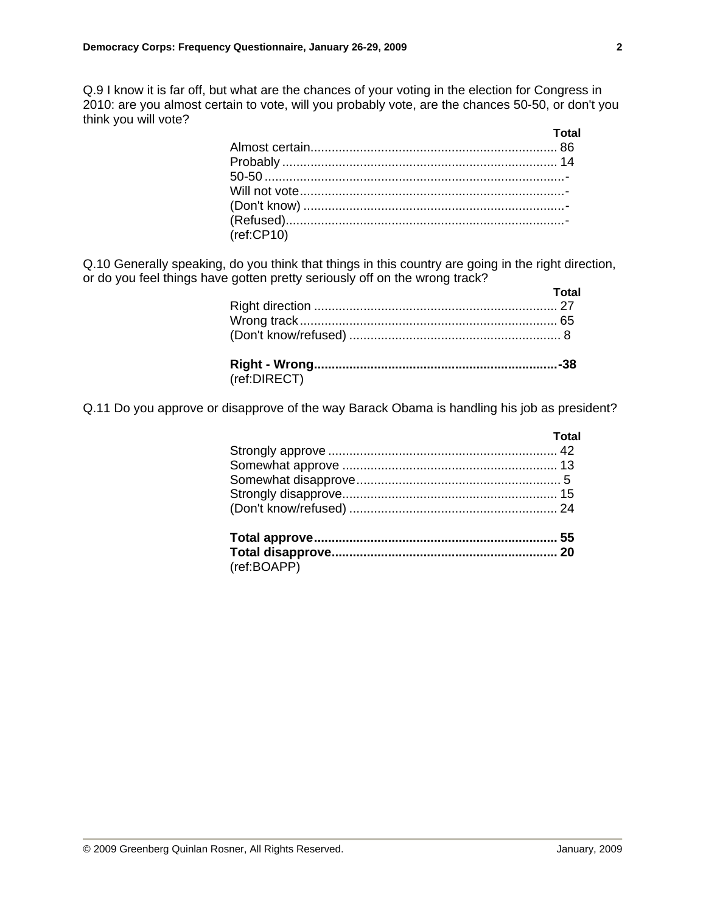Q.9 I know it is far off, but what are the chances of your voting in the election for Congress in 2010: are you almost certain to vote, will you probably vote, are the chances 50-50, or don't you think you will vote?

| $r$ ef:CP10) |  |
|--------------|--|

Q.10 Generally speaking, do you think that things in this country are going in the right direction, or do you feel things have gotten pretty seriously off on the wrong track?

|              | Total |
|--------------|-------|
|              |       |
|              |       |
|              |       |
|              |       |
| (ref:DIRECT) |       |

Q.11 Do you approve or disapprove of the way Barack Obama is handling his job as president?

| Total |
|-------|
|       |
|       |
|       |
|       |
|       |
|       |
|       |
|       |

(ref:BOAPP)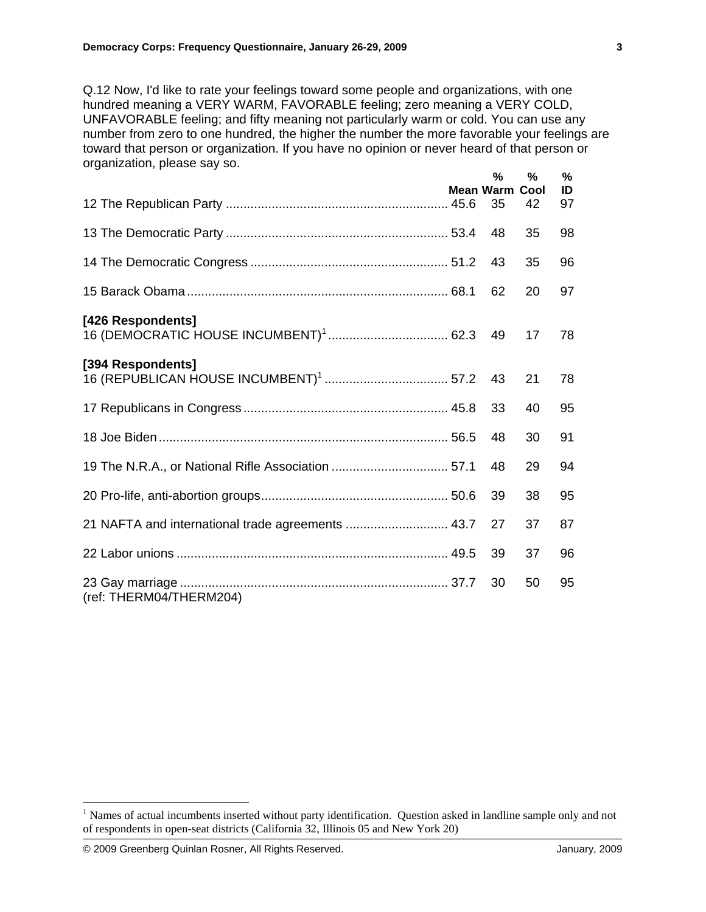Q.12 Now, I'd like to rate your feelings toward some people and organizations, with one hundred meaning a VERY WARM, FAVORABLE feeling; zero meaning a VERY COLD, UNFAVORABLE feeling; and fifty meaning not particularly warm or cold. You can use any number from zero to one hundred, the higher the number the more favorable your feelings are toward that person or organization. If you have no opinion or never heard of that person or organization, please say so.

|                                                      | %<br><b>Mean Warm</b> | %<br>Cool | %<br>ID |
|------------------------------------------------------|-----------------------|-----------|---------|
|                                                      | 35                    | 42        | 97      |
|                                                      | 48                    | 35        | 98      |
|                                                      | 43                    | 35        | 96      |
|                                                      | 62                    | 20        | 97      |
| [426 Respondents]                                    |                       | 17        | 78      |
| [394 Respondents]                                    |                       | 21        | 78      |
|                                                      | 33                    | 40        | 95      |
|                                                      | 48                    | 30        | 91      |
| 19 The N.R.A., or National Rifle Association  57.1   | 48                    | 29        | 94      |
|                                                      | 39                    | 38        | 95      |
| 21 NAFTA and international trade agreements  43.7 27 |                       | 37        | 87      |
|                                                      | 39                    | 37        | 96      |
| (ref: THERM04/THERM204)                              | 30                    | 50        | 95      |

 $\overline{a}$ 

<sup>&</sup>lt;sup>1</sup> Names of actual incumbents inserted without party identification. Question asked in landline sample only and not of respondents in open-seat districts (California 32, Illinois 05 and New York 20)

<sup>© 2009</sup> Greenberg Quinlan Rosner, All Rights Reserved. January, 2009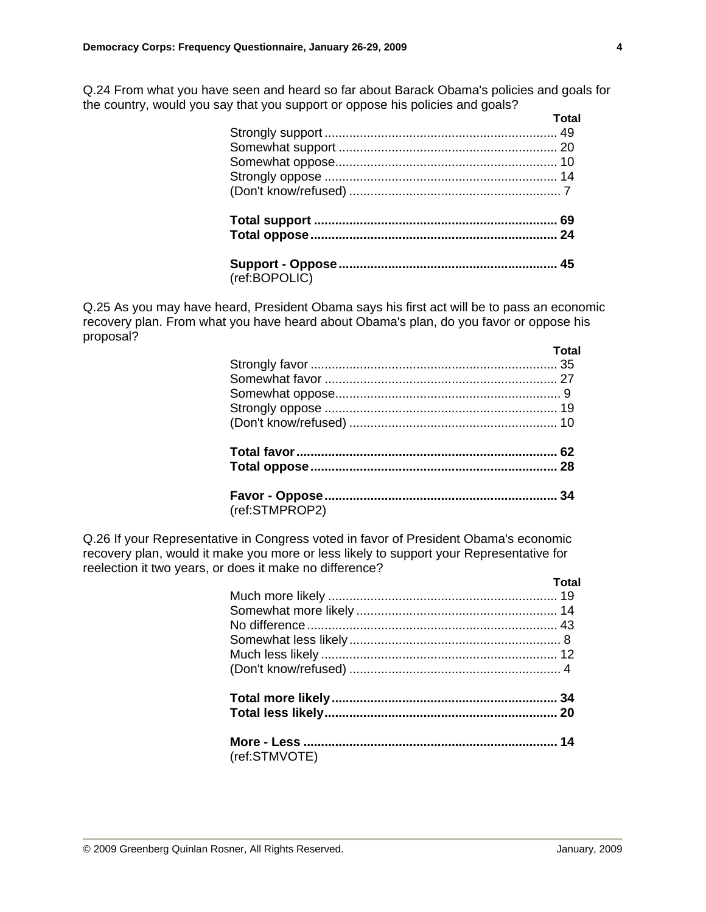Q.24 From what you have seen and heard so far about Barack Obama's policies and goals for the country, would you say that you support or oppose his policies and goals?

|               | Total |
|---------------|-------|
|               |       |
|               |       |
|               |       |
|               |       |
|               |       |
|               |       |
|               |       |
|               |       |
| (ref:BOPOLIC) |       |

Q.25 As you may have heard, President Obama says his first act will be to pass an economic recovery plan. From what you have heard about Obama's plan, do you favor or oppose his proposal?

|                | Total |
|----------------|-------|
|                |       |
|                |       |
|                |       |
|                |       |
|                |       |
|                |       |
|                |       |
|                |       |
| (ref:STMPROP2) |       |

Q.26 If your Representative in Congress voted in favor of President Obama's economic recovery plan, would it make you more or less likely to support your Representative for reelection it two years, or does it make no difference?

|               | Total |
|---------------|-------|
|               |       |
|               |       |
|               |       |
|               |       |
|               |       |
|               |       |
|               |       |
|               |       |
|               |       |
| (ref:STMVOTE) |       |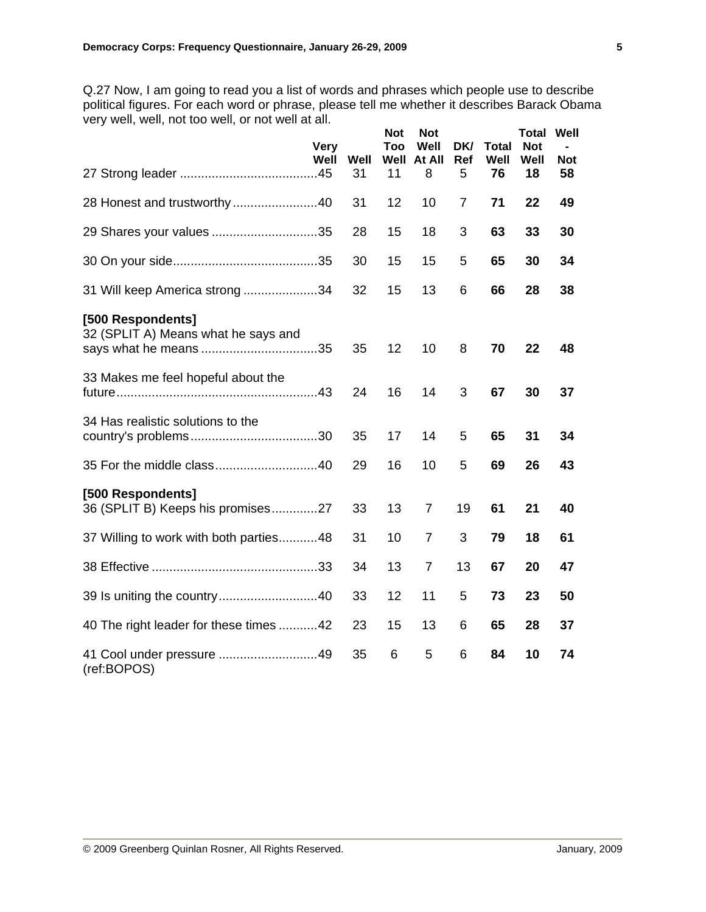Q.27 Now, I am going to read you a list of words and phrases which people use to describe political figures. For each word or phrase, please tell me whether it describes Barack Obama very well, well, not too well, or not well at all.

|                                                          | <b>Very</b><br>Well | Well<br>31 | <b>Not</b><br><b>Too</b><br>Well<br>11 | <b>Not</b><br>Well<br>At All<br>8 | DK/<br>Ref<br>5 | <b>Total</b><br>Well<br>76 | <b>Total Well</b><br><b>Not</b><br>Well<br>18 | <b>Not</b><br>58 |
|----------------------------------------------------------|---------------------|------------|----------------------------------------|-----------------------------------|-----------------|----------------------------|-----------------------------------------------|------------------|
| 28 Honest and trustworthy40                              |                     | 31         | 12                                     | 10                                | $\overline{7}$  | 71                         | 22                                            | 49               |
| 29 Shares your values 35                                 |                     | 28         | 15                                     | 18                                | 3               | 63                         | 33                                            | 30               |
|                                                          |                     | 30         | 15                                     | 15                                | 5               | 65                         | 30                                            | 34               |
| 31 Will keep America strong 34                           |                     | 32         | 15                                     | 13                                | 6               | 66                         | 28                                            | 38               |
| [500 Respondents]<br>32 (SPLIT A) Means what he says and |                     | 35         | 12                                     | 10                                | 8               | 70                         | 22                                            | 48               |
| 33 Makes me feel hopeful about the                       |                     | 24         | 16                                     | 14                                | 3               | 67                         | 30                                            | 37               |
| 34 Has realistic solutions to the                        |                     | 35         | 17                                     | 14                                | 5               | 65                         | 31                                            | 34               |
|                                                          |                     | 29         | 16                                     | 10                                | 5               | 69                         | 26                                            | 43               |
| [500 Respondents]<br>36 (SPLIT B) Keeps his promises27   |                     | 33         | 13                                     | 7                                 | 19              | 61                         | 21                                            | 40               |
| 37 Willing to work with both parties48                   |                     | 31         | 10                                     | 7                                 | 3               | 79                         | 18                                            | 61               |
|                                                          |                     | 34         | 13                                     | $\overline{7}$                    | 13              | 67                         | 20                                            | 47               |
|                                                          |                     | 33         | 12                                     | 11                                | 5               | 73                         | 23                                            | 50               |
| 40 The right leader for these times 42                   |                     | 23         | 15                                     | 13                                | 6               | 65                         | 28                                            | 37               |
| (ref:BOPOS)                                              |                     | 35         | 6                                      | 5                                 | 6               | 84                         | 10                                            | 74               |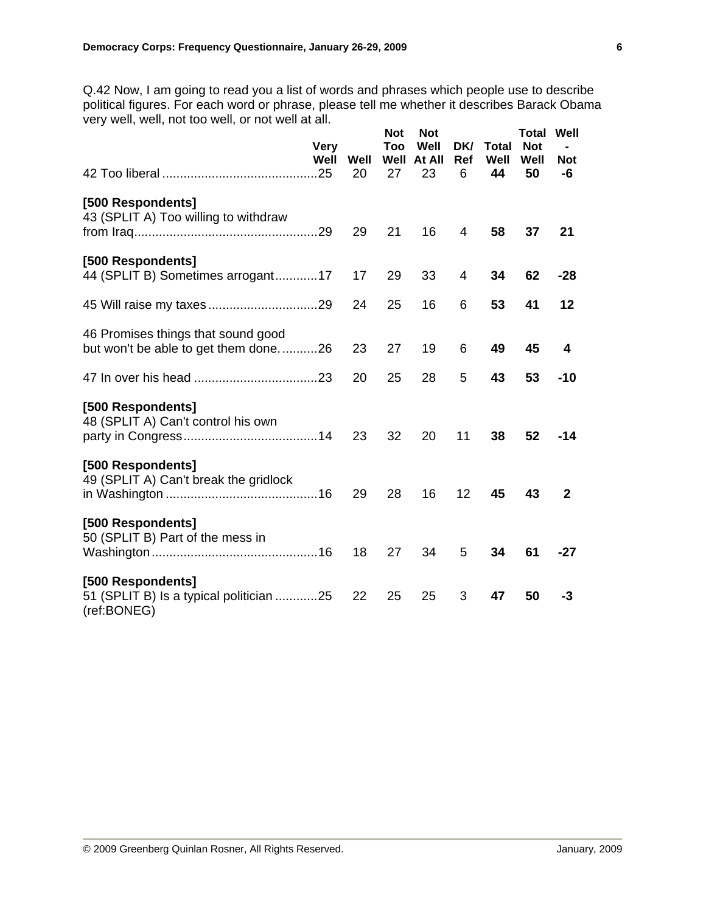Q.42 Now, I am going to read you a list of words and phrases which people use to describe political figures. For each word or phrase, please tell me whether it describes Barack Obama very well, well, not too well, or not well at all.

|                                                                             | Very<br>Well | Well<br>20 | <b>Not</b><br>Too<br>Well<br>27 | <b>Not</b><br>Well<br>At All<br>23 | DK/<br>Ref<br>6 | <b>Total</b><br>Well<br>44 | <b>Total</b><br><b>Not</b><br>Well<br>50 | Well<br><b>Not</b><br>-6 |
|-----------------------------------------------------------------------------|--------------|------------|---------------------------------|------------------------------------|-----------------|----------------------------|------------------------------------------|--------------------------|
| [500 Respondents]<br>43 (SPLIT A) Too willing to withdraw                   |              | 29         | 21                              | 16                                 | 4               | 58                         | 37                                       | 21                       |
| [500 Respondents]<br>44 (SPLIT B) Sometimes arrogant17                      |              | 17         | 29                              | 33                                 | 4               | 34                         | 62                                       | $-28$                    |
|                                                                             |              | 24         | 25                              | 16                                 | 6               | 53                         | 41                                       | 12                       |
| 46 Promises things that sound good<br>but won't be able to get them done26  |              | 23         | 27                              | 19                                 | 6               | 49                         | 45                                       | 4                        |
|                                                                             |              | 20         | 25                              | 28                                 | 5               | 43                         | 53                                       | $-10$                    |
| [500 Respondents]<br>48 (SPLIT A) Can't control his own                     |              | 23         | 32                              | 20                                 | 11              | 38                         | 52                                       | $-14$                    |
| [500 Respondents]<br>49 (SPLIT A) Can't break the gridlock                  |              | 29         | 28                              | 16                                 | 12 <sub>2</sub> | 45                         | 43                                       | $\mathbf{2}$             |
| [500 Respondents]<br>50 (SPLIT B) Part of the mess in                       |              | 18         | 27                              | 34                                 | 5               | 34                         | 61                                       | $-27$                    |
| [500 Respondents]<br>51 (SPLIT B) Is a typical politician 25<br>(ref:BONEG) |              | 22         | 25                              | 25                                 | 3               | 47                         | 50                                       | -3                       |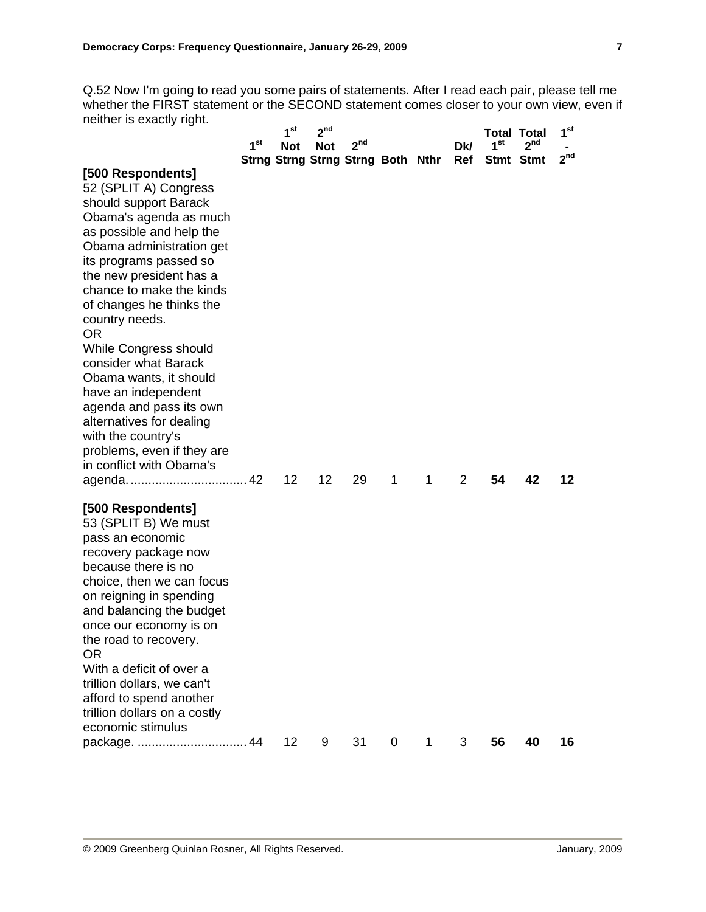Q.52 Now I'm going to read you some pairs of statements. After I read each pair, please tell me whether the FIRST statement or the SECOND statement comes closer to your own view, even if neither is exactly right.

|                                                      |                 | 1 <sup>st</sup>   | 2 <sup>nd</sup> |                                   |   |   |                |                 | <b>Total Total</b> | 1 <sup>st</sup> |
|------------------------------------------------------|-----------------|-------------------|-----------------|-----------------------------------|---|---|----------------|-----------------|--------------------|-----------------|
|                                                      | 1 <sup>st</sup> | <b>Not</b>        | <b>Not</b>      | 2 <sup>nd</sup>                   |   |   | Dk/            | 1 <sup>st</sup> | 2 <sup>nd</sup>    |                 |
|                                                      |                 |                   |                 | Strng Strng Strng Strng Both Nthr |   |   | Ref            |                 | Stmt Stmt          | 2 <sup>nd</sup> |
| [500 Respondents]                                    |                 |                   |                 |                                   |   |   |                |                 |                    |                 |
| 52 (SPLIT A) Congress                                |                 |                   |                 |                                   |   |   |                |                 |                    |                 |
| should support Barack                                |                 |                   |                 |                                   |   |   |                |                 |                    |                 |
| Obama's agenda as much                               |                 |                   |                 |                                   |   |   |                |                 |                    |                 |
| as possible and help the<br>Obama administration get |                 |                   |                 |                                   |   |   |                |                 |                    |                 |
| its programs passed so                               |                 |                   |                 |                                   |   |   |                |                 |                    |                 |
| the new president has a                              |                 |                   |                 |                                   |   |   |                |                 |                    |                 |
| chance to make the kinds                             |                 |                   |                 |                                   |   |   |                |                 |                    |                 |
| of changes he thinks the                             |                 |                   |                 |                                   |   |   |                |                 |                    |                 |
| country needs.                                       |                 |                   |                 |                                   |   |   |                |                 |                    |                 |
| <b>OR</b>                                            |                 |                   |                 |                                   |   |   |                |                 |                    |                 |
| While Congress should                                |                 |                   |                 |                                   |   |   |                |                 |                    |                 |
| consider what Barack                                 |                 |                   |                 |                                   |   |   |                |                 |                    |                 |
| Obama wants, it should                               |                 |                   |                 |                                   |   |   |                |                 |                    |                 |
| have an independent<br>agenda and pass its own       |                 |                   |                 |                                   |   |   |                |                 |                    |                 |
| alternatives for dealing                             |                 |                   |                 |                                   |   |   |                |                 |                    |                 |
| with the country's                                   |                 |                   |                 |                                   |   |   |                |                 |                    |                 |
| problems, even if they are                           |                 |                   |                 |                                   |   |   |                |                 |                    |                 |
| in conflict with Obama's                             |                 |                   |                 |                                   |   |   |                |                 |                    |                 |
|                                                      |                 | $12 \overline{ }$ | 12              | 29                                | 1 | 1 | $\overline{2}$ | 54              | 42                 | 12              |
| [500 Respondents]                                    |                 |                   |                 |                                   |   |   |                |                 |                    |                 |
| 53 (SPLIT B) We must                                 |                 |                   |                 |                                   |   |   |                |                 |                    |                 |
| pass an economic                                     |                 |                   |                 |                                   |   |   |                |                 |                    |                 |
| recovery package now                                 |                 |                   |                 |                                   |   |   |                |                 |                    |                 |
| because there is no                                  |                 |                   |                 |                                   |   |   |                |                 |                    |                 |
| choice, then we can focus                            |                 |                   |                 |                                   |   |   |                |                 |                    |                 |
| on reigning in spending<br>and balancing the budget  |                 |                   |                 |                                   |   |   |                |                 |                    |                 |
| once our economy is on                               |                 |                   |                 |                                   |   |   |                |                 |                    |                 |
| the road to recovery.                                |                 |                   |                 |                                   |   |   |                |                 |                    |                 |
| <b>OR</b>                                            |                 |                   |                 |                                   |   |   |                |                 |                    |                 |
| With a deficit of over a                             |                 |                   |                 |                                   |   |   |                |                 |                    |                 |
| trillion dollars, we can't                           |                 |                   |                 |                                   |   |   |                |                 |                    |                 |
| afford to spend another                              |                 |                   |                 |                                   |   |   |                |                 |                    |                 |
| trillion dollars on a costly                         |                 |                   |                 |                                   |   |   |                |                 |                    |                 |
| economic stimulus                                    | 44              | 12                | 9               | 31                                | 0 |   | 3              | 56              | 40                 | 16              |
| package.                                             |                 |                   |                 |                                   |   |   |                |                 |                    |                 |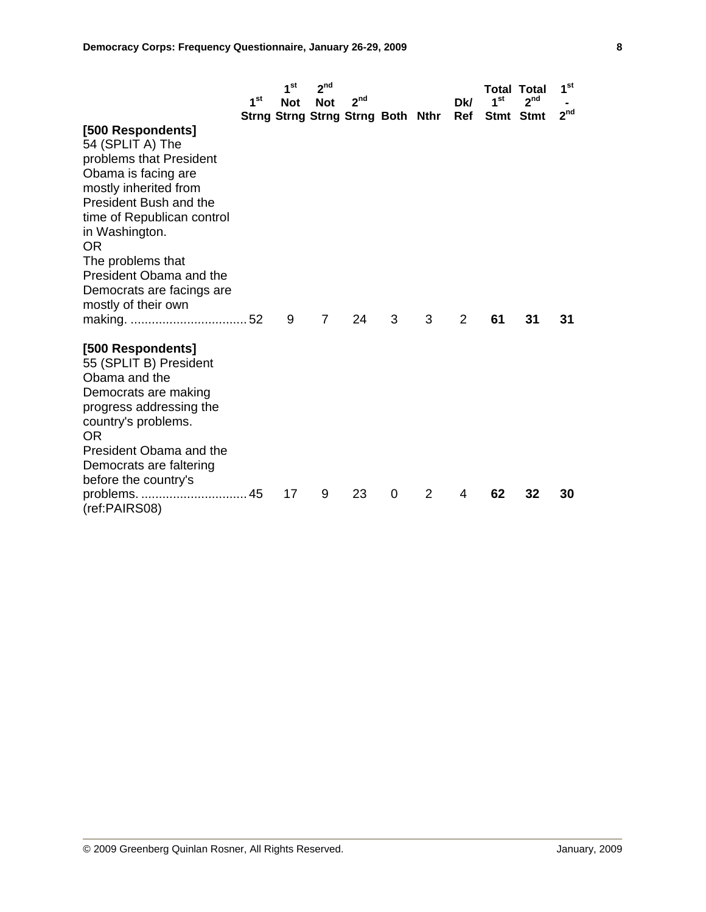|                                                                                                                                                                                                                              |                 | 1 <sup>st</sup> | 2 <sup>nd</sup> |                                   |          |   |            | Total Total     |                 | 1 <sup>st</sup> |
|------------------------------------------------------------------------------------------------------------------------------------------------------------------------------------------------------------------------------|-----------------|-----------------|-----------------|-----------------------------------|----------|---|------------|-----------------|-----------------|-----------------|
|                                                                                                                                                                                                                              | 1 <sup>st</sup> | <b>Not</b>      | <b>Not</b>      | 2 <sup>nd</sup>                   |          |   | <b>Dk/</b> | 1 <sup>st</sup> | 2 <sup>nd</sup> |                 |
| [500 Respondents]<br>54 (SPLIT A) The<br>problems that President<br>Obama is facing are<br>mostly inherited from<br>President Bush and the<br>time of Republican control<br>in Washington.<br><b>OR</b><br>The problems that |                 |                 |                 | Strng Strng Strng Strng Both Nthr |          |   | Ref        | Stmt Stmt       |                 | 2 <sup>nd</sup> |
| President Obama and the<br>Democrats are facings are<br>mostly of their own                                                                                                                                                  |                 | 9               | $\overline{7}$  | 24                                | 3        | 3 | 2          | 61              | 31              | 31              |
| [500 Respondents]<br>55 (SPLIT B) President<br>Obama and the<br>Democrats are making<br>progress addressing the<br>country's problems.<br>OR.<br>President Obama and the<br>Democrats are faltering<br>before the country's  |                 |                 |                 |                                   |          |   |            |                 |                 |                 |
| problems<br>45<br>(ref:PAIRS08)                                                                                                                                                                                              |                 | 17              | 9               | 23                                | $\Omega$ | 2 | 4          | 62              | 32              | 30              |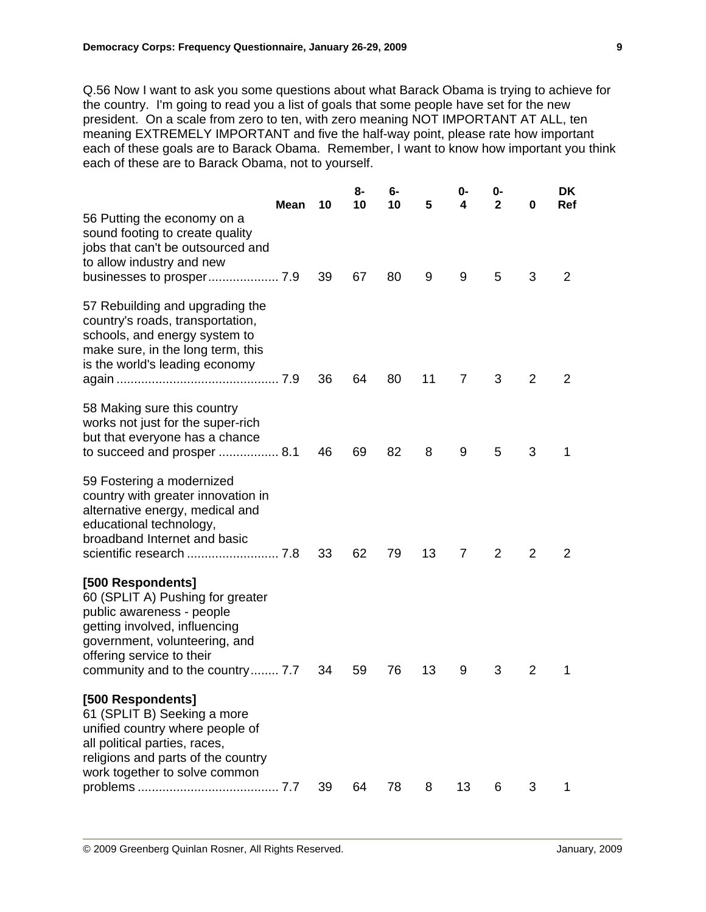Q.56 Now I want to ask you some questions about what Barack Obama is trying to achieve for the country. I'm going to read you a list of goals that some people have set for the new president. On a scale from zero to ten, with zero meaning NOT IMPORTANT AT ALL, ten meaning EXTREMELY IMPORTANT and five the half-way point, please rate how important each of these goals are to Barack Obama. Remember, I want to know how important you think each of these are to Barack Obama, not to yourself.

| Ref<br>3<br>2       |
|---------------------|
|                     |
| 2<br>2              |
| 3<br>1              |
| 2<br>2              |
| $\overline{2}$<br>1 |
|                     |
|                     |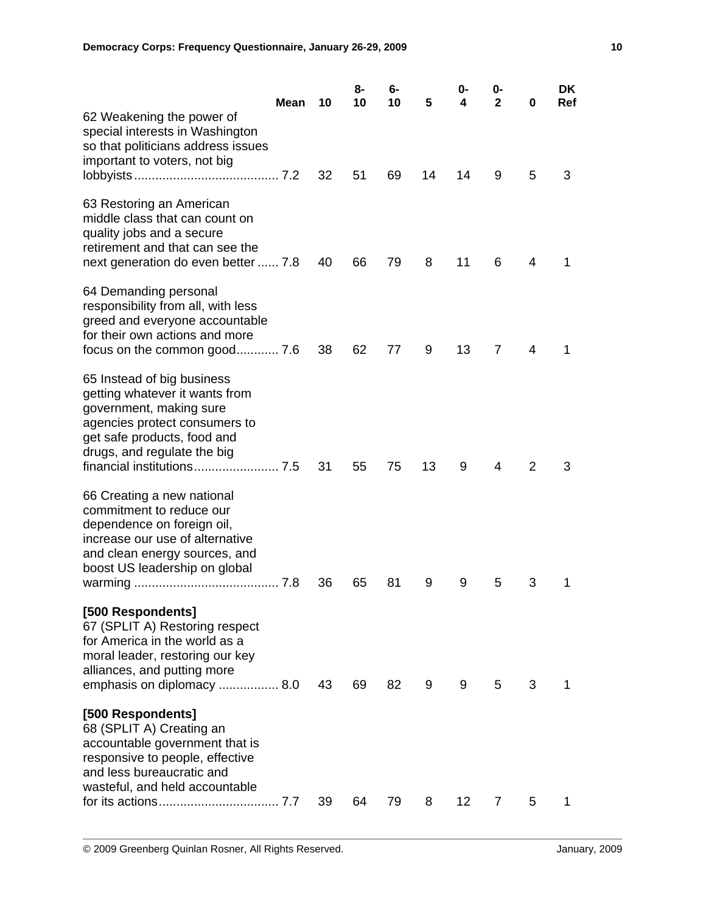| <b>Mean</b>                                                                                                                                                                               | 10 | 8-<br>10 | 6-<br>10 | 5  | 0-<br>4         | 0-<br>$\mathbf{2}$ | 0 | DK<br><b>Ref</b> |
|-------------------------------------------------------------------------------------------------------------------------------------------------------------------------------------------|----|----------|----------|----|-----------------|--------------------|---|------------------|
| 62 Weakening the power of<br>special interests in Washington<br>so that politicians address issues<br>important to voters, not big                                                        | 32 | 51       | 69       | 14 | 14              | 9                  | 5 | 3                |
| 63 Restoring an American<br>middle class that can count on<br>quality jobs and a secure<br>retirement and that can see the<br>next generation do even better  7.8                         | 40 | 66       | 79       | 8  | 11              | 6                  | 4 | 1                |
| 64 Demanding personal<br>responsibility from all, with less<br>greed and everyone accountable<br>for their own actions and more                                                           | 38 | 62       | 77       | 9  | 13              | 7                  | 4 | 1                |
| 65 Instead of big business<br>getting whatever it wants from<br>government, making sure<br>agencies protect consumers to<br>get safe products, food and<br>drugs, and regulate the big    | 31 | 55       | 75       | 13 | 9               | 4                  | 2 | 3                |
| 66 Creating a new national<br>commitment to reduce our<br>dependence on foreign oil,<br>increase our use of alternative<br>and clean energy sources, and<br>boost US leadership on global | 36 | 65       | 81       | 9  | 9               | 5                  | 3 | 1                |
| [500 Respondents]<br>67 (SPLIT A) Restoring respect<br>for America in the world as a<br>moral leader, restoring our key<br>alliances, and putting more<br>emphasis on diplomacy  8.0      | 43 | 69       | 82       | 9  | 9               | 5                  | 3 | 1                |
| [500 Respondents]<br>68 (SPLIT A) Creating an<br>accountable government that is<br>responsive to people, effective<br>and less bureaucratic and<br>wasteful, and held accountable         | 39 | 64       | 79       | 8  | 12 <sub>2</sub> | 7                  | 5 | 1                |
|                                                                                                                                                                                           |    |          |          |    |                 |                    |   |                  |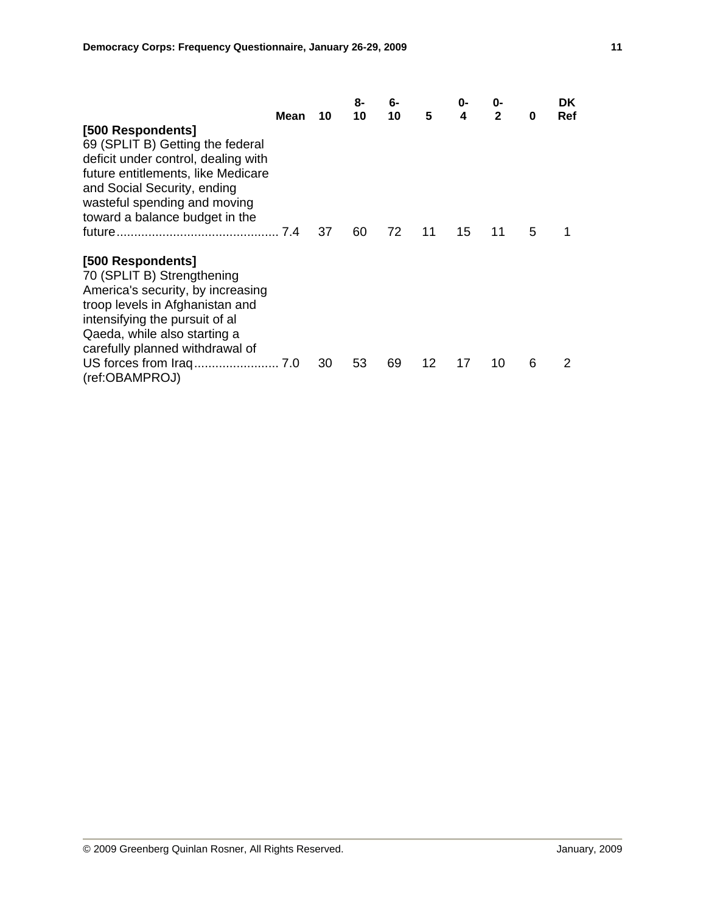|                                                                                                                                                                                                                                     | Mean | 10 | 8-<br>10 | 6-<br>10 | 5  | 0-<br>4 | 0-<br>$\mathbf{2}$ | 0 | DK.<br>Ref |
|-------------------------------------------------------------------------------------------------------------------------------------------------------------------------------------------------------------------------------------|------|----|----------|----------|----|---------|--------------------|---|------------|
| [500 Respondents]<br>69 (SPLIT B) Getting the federal<br>deficit under control, dealing with<br>future entitlements, like Medicare<br>and Social Security, ending<br>wasteful spending and moving<br>toward a balance budget in the |      | 37 | 60       | 72       | 11 | 15      | 11                 | 5 |            |
| [500 Respondents]<br>70 (SPLIT B) Strengthening<br>America's security, by increasing<br>troop levels in Afghanistan and<br>intensifying the pursuit of all<br>Qaeda, while also starting a<br>carefully planned withdrawal of       |      |    |          |          |    |         |                    |   |            |
| (ref:OBAMPROJ)                                                                                                                                                                                                                      |      | 30 | 53       | 69       | 12 | 17      | 10                 | 6 | 2          |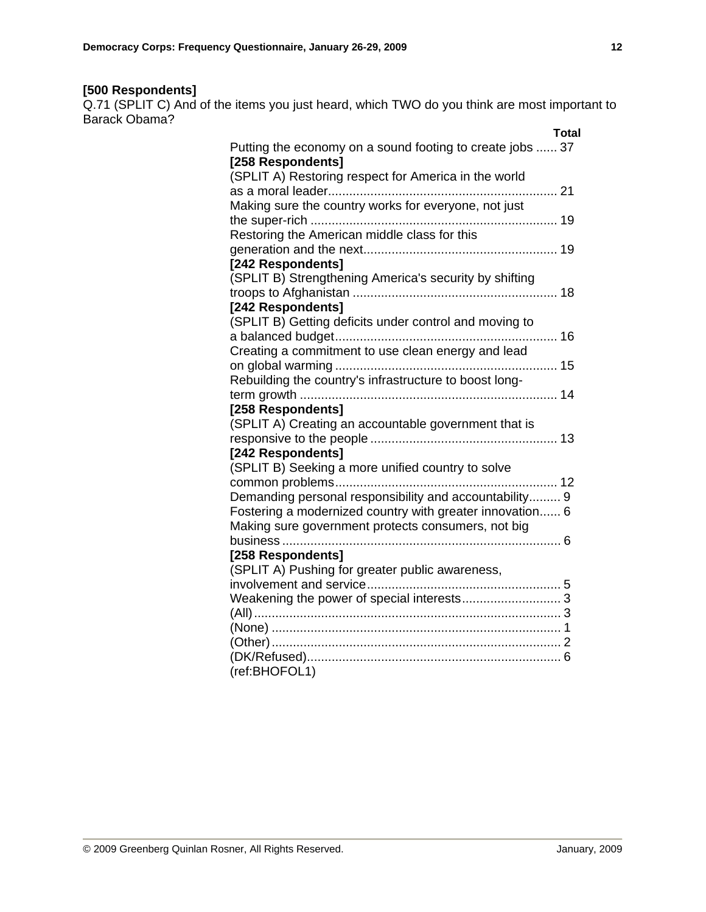# **[500 Respondents]**

Q.71 (SPLIT C) And of the items you just heard, which TWO do you think are most important to Barack Obama?

| Total                                                     |
|-----------------------------------------------------------|
| Putting the economy on a sound footing to create jobs  37 |
| [258 Respondents]                                         |
| (SPLIT A) Restoring respect for America in the world      |
|                                                           |
| Making sure the country works for everyone, not just      |
|                                                           |
| Restoring the American middle class for this              |
|                                                           |
| [242 Respondents]                                         |
| (SPLIT B) Strengthening America's security by shifting    |
|                                                           |
| [242 Respondents]                                         |
| (SPLIT B) Getting deficits under control and moving to    |
|                                                           |
| Creating a commitment to use clean energy and lead        |
|                                                           |
| Rebuilding the country's infrastructure to boost long-    |
|                                                           |
| [258 Respondents]                                         |
| (SPLIT A) Creating an accountable government that is      |
|                                                           |
| [242 Respondents]                                         |
| (SPLIT B) Seeking a more unified country to solve         |
|                                                           |
| Demanding personal responsibility and accountability 9    |
| Fostering a modernized country with greater innovation 6  |
| Making sure government protects consumers, not big        |
|                                                           |
| [258 Respondents]                                         |
| (SPLIT A) Pushing for greater public awareness,           |
|                                                           |
|                                                           |
|                                                           |
|                                                           |
|                                                           |
| (ref:BHOFOL1)                                             |
|                                                           |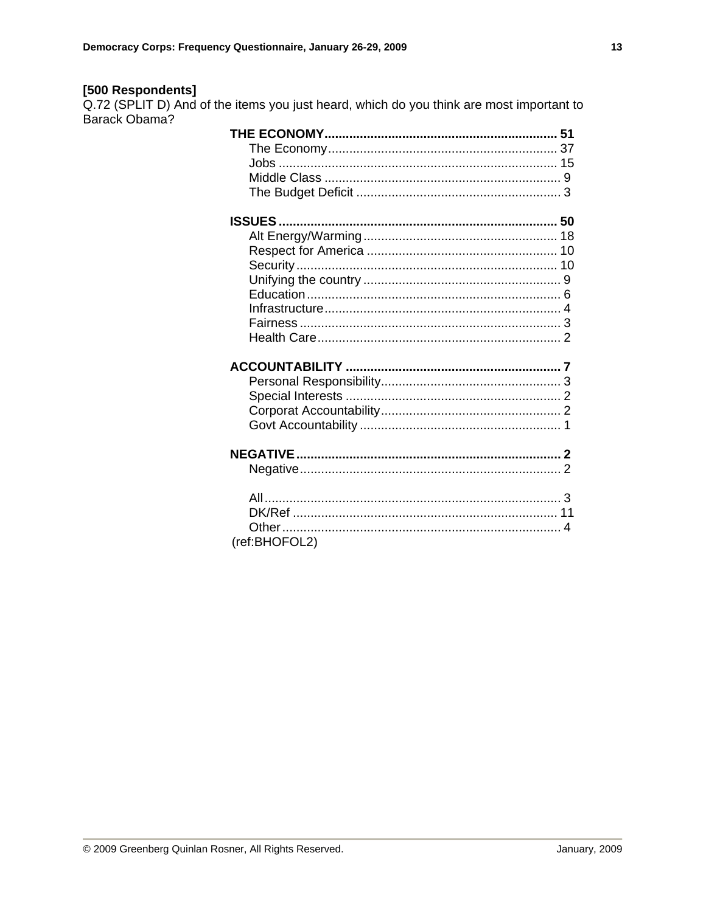[500 Respondents]<br>Q.72 (SPLIT D) And of the items you just heard, which do you think are most important to Barack Obama?

| <b>ISSUES</b> |  |
|---------------|--|
|               |  |
|               |  |
|               |  |
|               |  |
|               |  |
|               |  |
|               |  |
|               |  |
|               |  |
|               |  |
|               |  |
|               |  |
|               |  |
|               |  |
|               |  |
|               |  |
|               |  |
|               |  |
|               |  |
|               |  |
|               |  |
| (ref:BHOFOL2) |  |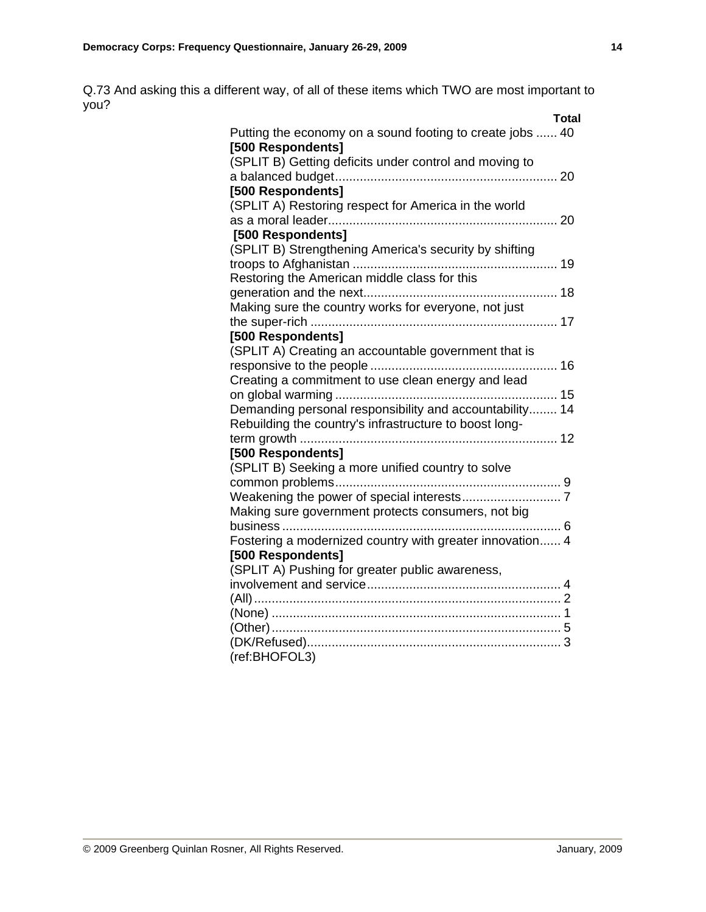Q.73 And asking this a different way, of all of these items which TWO are most important to you?

| Total                                                     |
|-----------------------------------------------------------|
| Putting the economy on a sound footing to create jobs  40 |
| [500 Respondents]                                         |
| (SPLIT B) Getting deficits under control and moving to    |
|                                                           |
| [500 Respondents]                                         |
| (SPLIT A) Restoring respect for America in the world      |
|                                                           |
| [500 Respondents]                                         |
| (SPLIT B) Strengthening America's security by shifting    |
|                                                           |
| Restoring the American middle class for this              |
|                                                           |
| Making sure the country works for everyone, not just      |
|                                                           |
| [500 Respondents]                                         |
| (SPLIT A) Creating an accountable government that is      |
|                                                           |
| Creating a commitment to use clean energy and lead        |
|                                                           |
| Demanding personal responsibility and accountability 14   |
| Rebuilding the country's infrastructure to boost long-    |
|                                                           |
| [500 Respondents]                                         |
| (SPLIT B) Seeking a more unified country to solve         |
|                                                           |
|                                                           |
| Making sure government protects consumers, not big        |
|                                                           |
| Fostering a modernized country with greater innovation 4  |
| [500 Respondents]                                         |
| (SPLIT A) Pushing for greater public awareness,           |
|                                                           |
|                                                           |
|                                                           |
|                                                           |
|                                                           |
| (ref:BHOFOL3)                                             |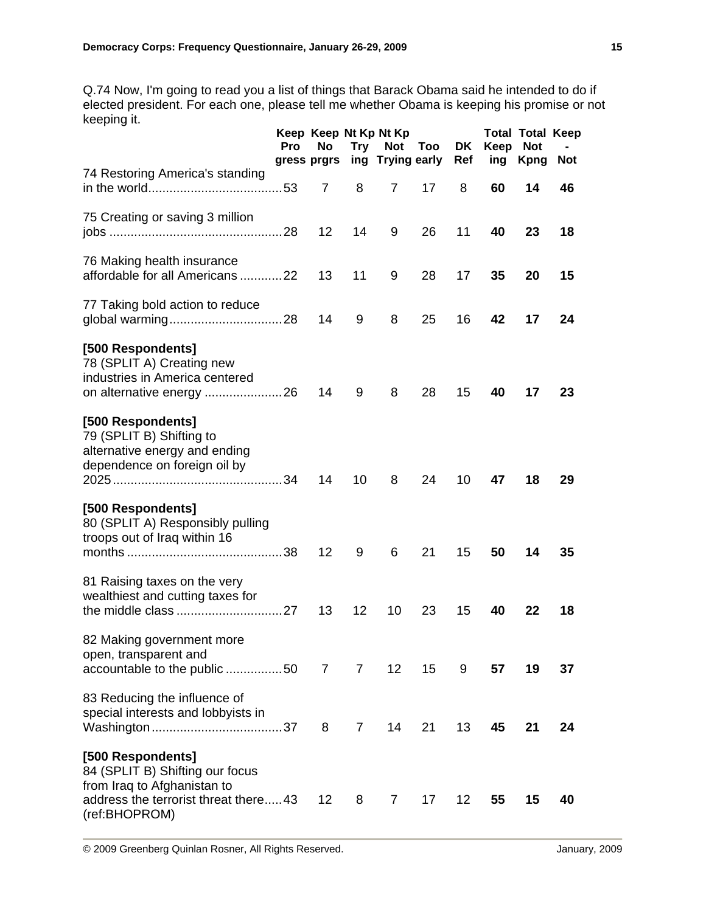Q.74 Now, I'm going to read you a list of things that Barack Obama said he intended to do if elected president. For each one, please tell me whether Obama is keeping his promise or not keeping it.

|                                                                                                                                              | <b>Pro</b> | No.<br>gress prgrs |                | Keep Keep Nt Kp Nt Kp<br>Try Not Too<br>ing Trying early |    | DK<br>Ref | Keep<br>ing | <b>Total Total Keep</b><br><b>Not</b><br><b>Kpng</b> | <b>Not</b> |
|----------------------------------------------------------------------------------------------------------------------------------------------|------------|--------------------|----------------|----------------------------------------------------------|----|-----------|-------------|------------------------------------------------------|------------|
| 74 Restoring America's standing                                                                                                              |            | $\overline{7}$     | 8              | $\overline{7}$                                           | 17 | 8         | 60          | 14                                                   | 46         |
| 75 Creating or saving 3 million                                                                                                              |            | $12 \overline{ }$  | 14             | 9                                                        | 26 | 11        | 40          | 23                                                   | 18         |
| 76 Making health insurance<br>affordable for all Americans 22                                                                                |            | 13                 | 11             | 9                                                        | 28 | 17        | 35          | 20                                                   | 15         |
| 77 Taking bold action to reduce                                                                                                              |            | 14                 | 9              | 8                                                        | 25 | 16        | 42          | 17                                                   | 24         |
| [500 Respondents]<br>78 (SPLIT A) Creating new<br>industries in America centered<br>on alternative energy 26                                 |            | 14                 | 9              | 8                                                        | 28 | 15        | 40          | 17                                                   | 23         |
| [500 Respondents]<br>79 (SPLIT B) Shifting to<br>alternative energy and ending<br>dependence on foreign oil by                               |            | 14                 | 10             | 8                                                        | 24 | 10        | 47          | 18                                                   | 29         |
| [500 Respondents]<br>80 (SPLIT A) Responsibly pulling<br>troops out of Iraq within 16                                                        |            | 12                 | 9              | 6                                                        | 21 | 15        | 50          | 14                                                   | 35         |
| 81 Raising taxes on the very<br>wealthiest and cutting taxes for                                                                             |            | 13                 | 12             | 10                                                       | 23 | 15        | 40          | 22                                                   | 18         |
| 82 Making government more<br>open, transparent and<br>accountable to the public 50 7                                                         |            |                    | 7 <sup>7</sup> | 12 <sub>2</sub>                                          | 15 | 9         | 57          | 19                                                   | 37         |
| 83 Reducing the influence of<br>special interests and lobbyists in                                                                           |            | 8                  | 7 <sup>7</sup> | 14                                                       | 21 | 13        | 45          | 21                                                   | 24         |
| [500 Respondents]<br>84 (SPLIT B) Shifting our focus<br>from Iraq to Afghanistan to<br>address the terrorist threat there43<br>(ref:BHOPROM) |            | 12                 | 8              | 7 <sup>7</sup>                                           | 17 | 12        | 55          | 15                                                   | 40         |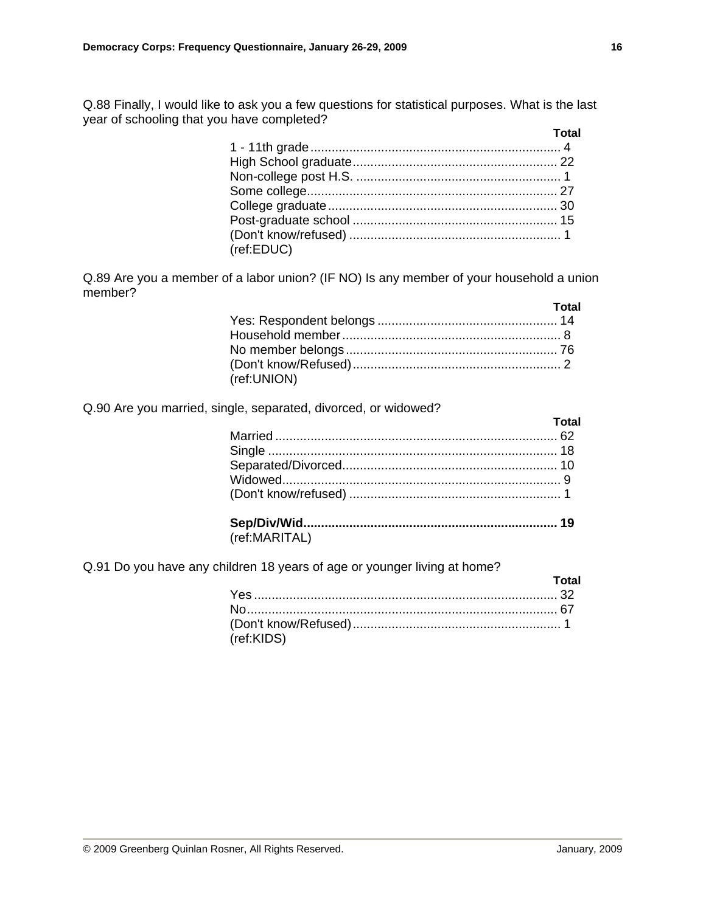Q.88 Finally, I would like to ask you a few questions for statistical purposes. What is the last year of schooling that you have completed?

|            | Total |
|------------|-------|
|            |       |
|            |       |
|            |       |
|            |       |
|            |       |
|            |       |
|            |       |
| (ref:EDUC) |       |

Q.89 Are you a member of a labor union? (IF NO) Is any member of your household a union member?

|             | Total |
|-------------|-------|
|             |       |
|             |       |
|             |       |
|             |       |
| (ref:UNION) |       |

Q.90 Are you married, single, separated, divorced, or widowed?

|               | Total |
|---------------|-------|
|               |       |
|               |       |
|               |       |
|               |       |
|               |       |
|               |       |
| (ref:MARITAL) |       |

Q.91 Do you have any children 18 years of age or younger living at home?

|            | Total |
|------------|-------|
|            |       |
|            |       |
|            |       |
| (ref:KIDS) |       |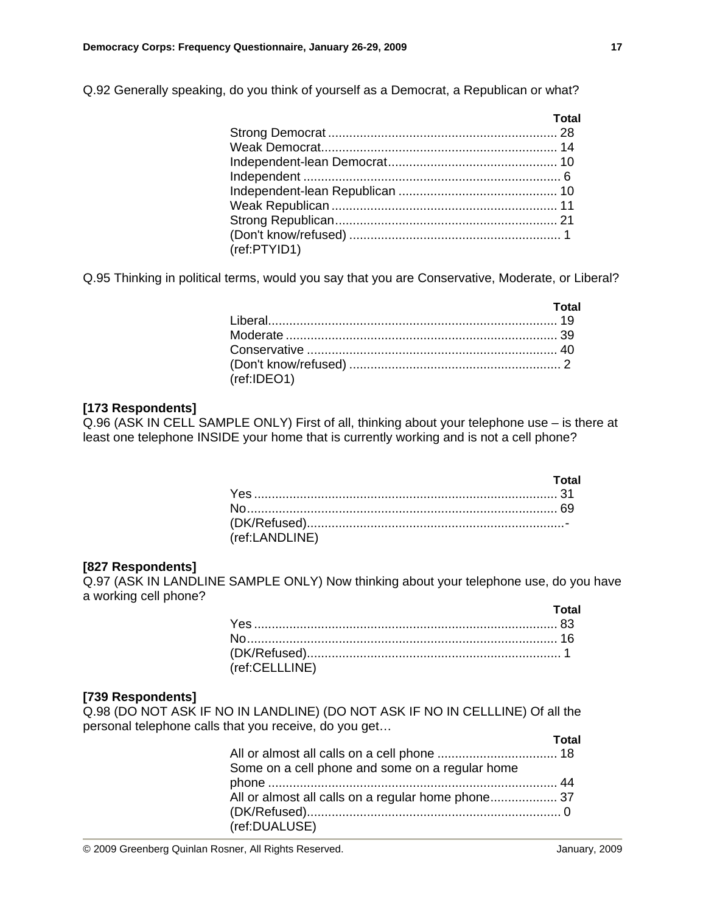Q.92 Generally speaking, do you think of yourself as a Democrat, a Republican or what?

|              | Total |
|--------------|-------|
|              |       |
|              |       |
|              |       |
|              |       |
|              |       |
|              |       |
|              |       |
|              |       |
| (ref:PTYID1) |       |
|              |       |

Q.95 Thinking in political terms, would you say that you are Conservative, Moderate, or Liberal?

|             | <b>Total</b> |
|-------------|--------------|
|             |              |
|             |              |
|             |              |
|             |              |
| (ref:IDEO1) |              |

# **[173 Respondents]**

Q.96 (ASK IN CELL SAMPLE ONLY) First of all, thinking about your telephone use – is there at least one telephone INSIDE your home that is currently working and is not a cell phone?

|                | Total |
|----------------|-------|
|                |       |
|                |       |
|                |       |
| (ref:LANDLINE) |       |

### **[827 Respondents]**

Q.97 (ASK IN LANDLINE SAMPLE ONLY) Now thinking about your telephone use, do you have a working cell phone?

|                | Total |
|----------------|-------|
|                |       |
|                |       |
|                |       |
| (ref:CELLLINE) |       |

### **[739 Respondents]**

Q.98 (DO NOT ASK IF NO IN LANDLINE) (DO NOT ASK IF NO IN CELLLINE) Of all the personal telephone calls that you receive, do you get…

|                                                    | Total |
|----------------------------------------------------|-------|
|                                                    |       |
| Some on a cell phone and some on a regular home    |       |
|                                                    |       |
| All or almost all calls on a regular home phone 37 |       |
|                                                    |       |
| (ref:DUALUSE)                                      |       |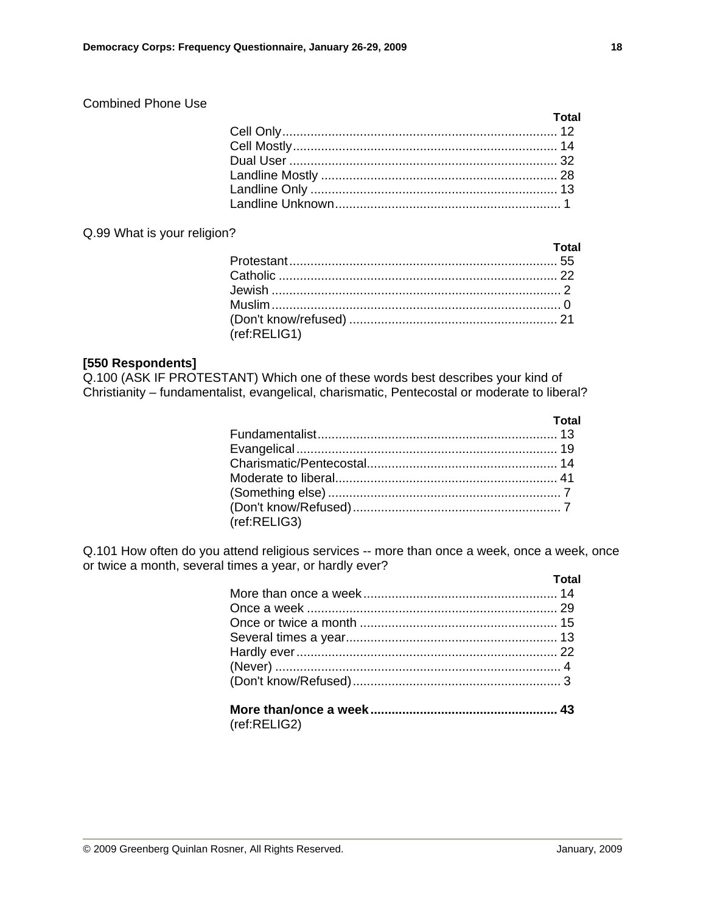# Combined Phone Use

Q.99 What is your religion?

| <u>and the contract of the Total</u> |
|--------------------------------------|
|                                      |
|                                      |
|                                      |
|                                      |
|                                      |
|                                      |
|                                      |

# **[550 Respondents]**

Q.100 (ASK IF PROTESTANT) Which one of these words best describes your kind of Christianity – fundamentalist, evangelical, charismatic, Pentecostal or moderate to liberal?

| (ref:RELIG3) |  |
|--------------|--|

Q.101 How often do you attend religious services -- more than once a week, once a week, once or twice a month, several times a year, or hardly ever?

| <u>and the contract of the Total</u> |
|--------------------------------------|
|                                      |
|                                      |
|                                      |
|                                      |
|                                      |
|                                      |
|                                      |
|                                      |

(ref:RELIG2)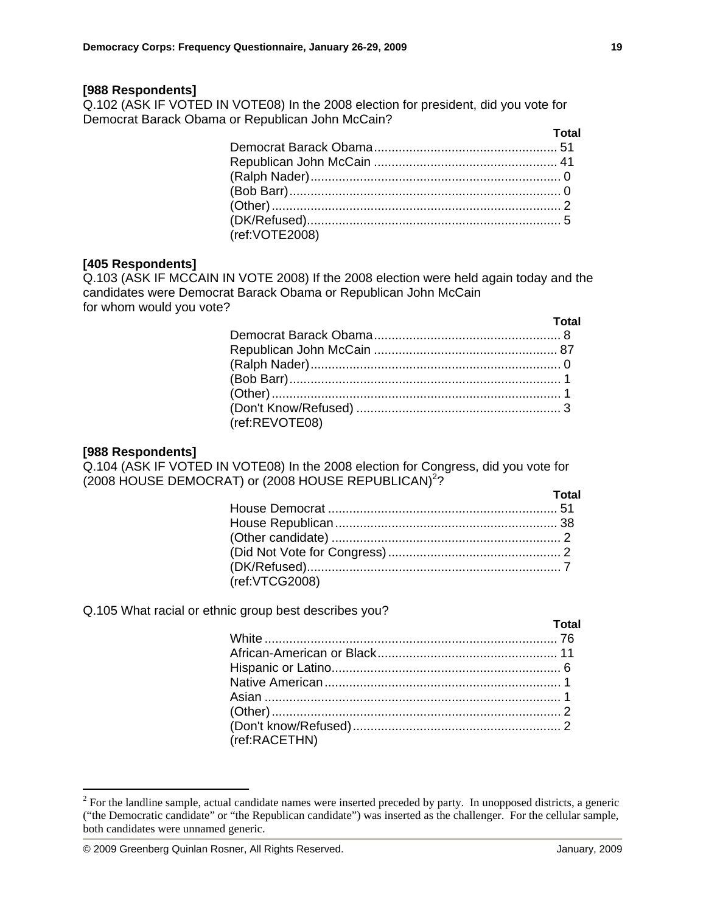#### **[988 Respondents]**

Q.102 (ASK IF VOTED IN VOTE08) In the 2008 election for president, did you vote for Democrat Barack Obama or Republican John McCain?

|                | Total |
|----------------|-------|
|                |       |
|                |       |
|                |       |
|                |       |
|                |       |
|                |       |
| (ref:VOTE2008) |       |

#### **[405 Respondents]**

Q.103 (ASK IF MCCAIN IN VOTE 2008) If the 2008 election were held again today and the candidates were Democrat Barack Obama or Republican John McCain for whom would you vote?

|                | Total |
|----------------|-------|
|                |       |
|                |       |
|                |       |
|                |       |
|                |       |
|                |       |
| (ref:REVOTE08) |       |

#### **[988 Respondents]**

 $\overline{a}$ 

Q.104 (ASK IF VOTED IN VOTE08) In the 2008 election for Congress, did you vote for (2008 HOUSE DEMOCRAT) or (2008 HOUSE REPUBLICAN)<sup>2</sup>?

|                | Total |
|----------------|-------|
|                |       |
|                |       |
|                |       |
|                |       |
|                |       |
| (ref:VTCG2008) |       |

Q.105 What racial or ethnic group best describes you?

|               | Total |
|---------------|-------|
|               |       |
|               |       |
|               |       |
|               |       |
|               |       |
|               |       |
|               |       |
| (ref:RACETHN) |       |

 $2^2$  For the landline sample, actual candidate names were inserted preceded by party. In unopposed districts, a generic ("the Democratic candidate" or "the Republican candidate") was inserted as the challenger. For the cellular sample, both candidates were unnamed generic.

<sup>© 2009</sup> Greenberg Quinlan Rosner, All Rights Reserved. January, 2009